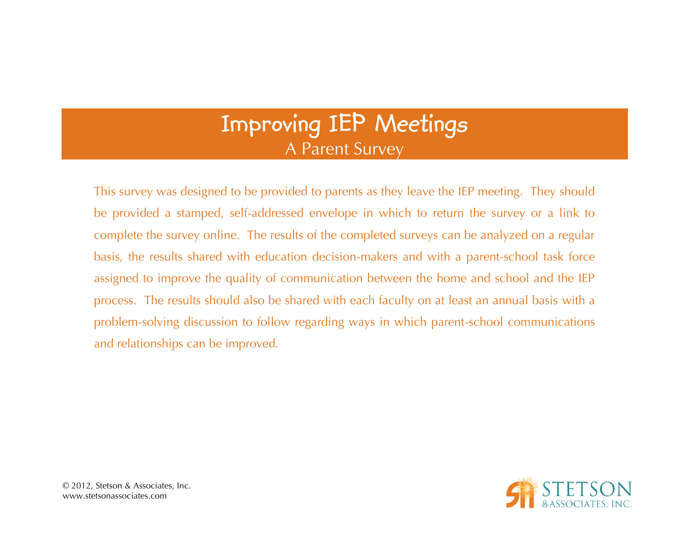## **Improving IEP Meetings** A Parent Survey

This survey was designed to be provided to parents as they leave the IEP meeting. They should be provided a stamped, self-addressed envelope in which to return the survey or a link to complete the survey online. The results of the completed surveys can be analyzed on a regular basis, the results shared with education decision-makers and with a parent-school task force assigned to improve the quality of communication between the home and school and the IEP process. The results should also be shared with each faculty on at least an annual basis with a problem-solving discussion to follow regarding ways in which parent-school communications and relationships can be improved.